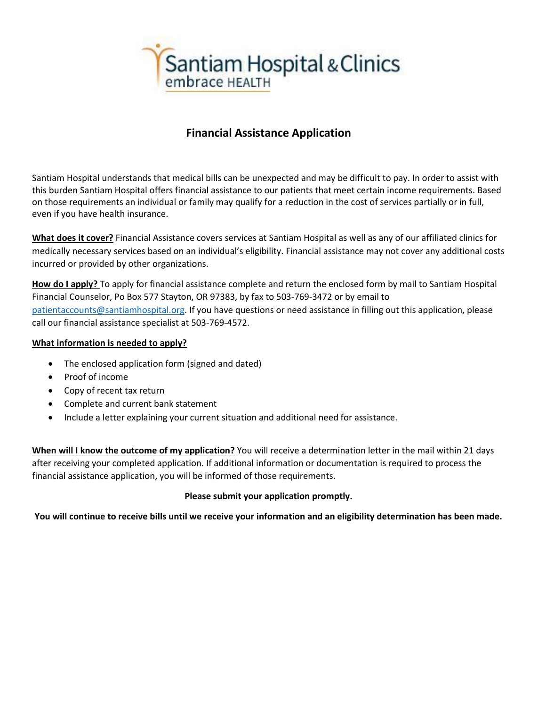

# **Financial Assistance Application**

Santiam Hospital understands that medical bills can be unexpected and may be difficult to pay. In order to assist with this burden Santiam Hospital offers financial assistance to our patients that meet certain income requirements. Based on those requirements an individual or family may qualify for a reduction in the cost of services partially or in full, even if you have health insurance.

**What does it cover?** Financial Assistance covers services at Santiam Hospital as well as any of our affiliated clinics for medically necessary services based on an individual's eligibility. Financial assistance may not cover any additional costs incurred or provided by other organizations.

**How do I apply?** To apply for financial assistance complete and return the enclosed form by mail to Santiam Hospital Financial Counselor, Po Box 577 Stayton, OR 97383, by fax to 503-769-3472 or by email to [patientaccounts@santiamhospital.org.](mailto:patientaccounts@santiamhospital.org) If you have questions or need assistance in filling out this application, please call our financial assistance specialist at 503-769-4572.

#### **What information is needed to apply?**

- The enclosed application form (signed and dated)
- Proof of income
- Copy of recent tax return
- Complete and current bank statement
- Include a letter explaining your current situation and additional need for assistance.

**When will I know the outcome of my application?** You will receive a determination letter in the mail within 21 days after receiving your completed application. If additional information or documentation is required to process the financial assistance application, you will be informed of those requirements.

### **Please submit your application promptly.**

**You will continue to receive bills until we receive your information and an eligibility determination has been made.**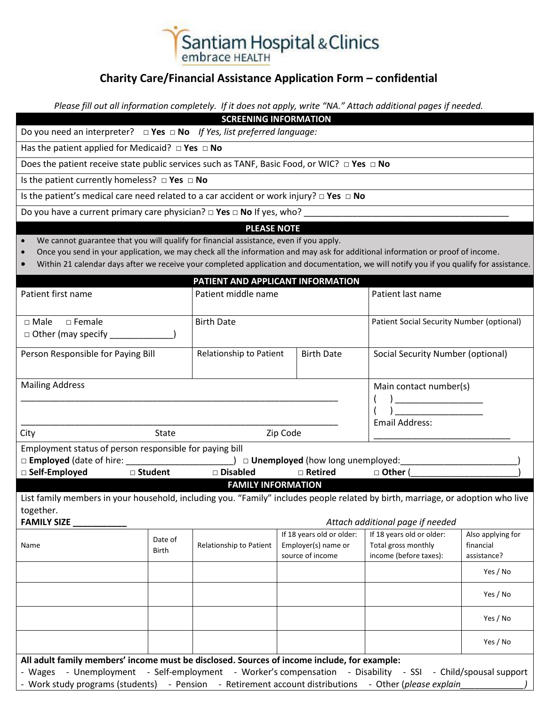

## **Charity Care/Financial Assistance Application Form – confidential**

*Please fill out all information completely. If it does not apply, write "NA." Attach additional pages if needed.*

**SCREENING INFORMATION**

Do you need an interpreter? **□ Yes □ No** *If Yes, list preferred language:*

Has the patient applied for Medicaid? **□ Yes □ No**

Does the patient receive state public services such as TANF, Basic Food, or WIC? **□ Yes □ No**

Is the patient currently homeless? **□ Yes □ No**

Is the patient's medical care need related to a car accident or work injury? **□ Yes □ No**

Do you have a current primary care physician? □ Yes □ No If yes, who? \_

#### **PLEASE NOTE**

- We cannot guarantee that you will qualify for financial assistance, even if you apply.
- Once you send in your application, we may check all the information and may ask for additional information or proof of income.
- Within 21 calendar days after we receive your completed application and documentation, we will notify you if you qualify for assistance.

|                                                                                                                                                                                                                      |                                  | PATIENT AND APPLICANT INFORMATION |                           |                                           |                   |
|----------------------------------------------------------------------------------------------------------------------------------------------------------------------------------------------------------------------|----------------------------------|-----------------------------------|---------------------------|-------------------------------------------|-------------------|
| Patient first name                                                                                                                                                                                                   |                                  | Patient middle name               |                           | Patient last name                         |                   |
|                                                                                                                                                                                                                      |                                  |                                   |                           |                                           |                   |
| $\square$ Female<br>$\Box$ Male                                                                                                                                                                                      |                                  | <b>Birth Date</b>                 |                           | Patient Social Security Number (optional) |                   |
| $\Box$ Other (may specify $\Box$                                                                                                                                                                                     |                                  |                                   |                           |                                           |                   |
| Person Responsible for Paying Bill                                                                                                                                                                                   |                                  | Relationship to Patient           | <b>Birth Date</b>         | Social Security Number (optional)         |                   |
| <b>Mailing Address</b>                                                                                                                                                                                               |                                  |                                   |                           | Main contact number(s)                    |                   |
|                                                                                                                                                                                                                      |                                  |                                   |                           |                                           |                   |
|                                                                                                                                                                                                                      |                                  |                                   |                           | <b>Email Address:</b>                     |                   |
| City<br><b>State</b>                                                                                                                                                                                                 |                                  | Zip Code                          |                           |                                           |                   |
| Employment status of person responsible for paying bill                                                                                                                                                              |                                  |                                   |                           |                                           |                   |
|                                                                                                                                                                                                                      |                                  |                                   |                           |                                           |                   |
| $\Box$ Self-Employed                                                                                                                                                                                                 | □ Student                        | □ Disabled                        | □ Retired                 | $\Box$ Other (                            |                   |
| <b>FAMILY INFORMATION</b>                                                                                                                                                                                            |                                  |                                   |                           |                                           |                   |
| List family members in your household, including you. "Family" includes people related by birth, marriage, or adoption who live                                                                                      |                                  |                                   |                           |                                           |                   |
| together.                                                                                                                                                                                                            |                                  |                                   |                           |                                           |                   |
| <b>FAMILY SIZE __</b>                                                                                                                                                                                                | Attach additional page if needed |                                   |                           |                                           |                   |
|                                                                                                                                                                                                                      | Date of                          |                                   | If 18 years old or older: | If 18 years old or older:                 | Also applying for |
| Name                                                                                                                                                                                                                 | Birth                            | Relationship to Patient           | Employer(s) name or       | Total gross monthly                       | financial         |
|                                                                                                                                                                                                                      |                                  |                                   | source of income          | income (before taxes):                    | assistance?       |
|                                                                                                                                                                                                                      |                                  |                                   |                           |                                           | Yes / No          |
|                                                                                                                                                                                                                      |                                  |                                   |                           |                                           |                   |
|                                                                                                                                                                                                                      |                                  |                                   |                           |                                           | Yes / No          |
|                                                                                                                                                                                                                      |                                  |                                   |                           |                                           | Yes / No          |
|                                                                                                                                                                                                                      |                                  |                                   |                           |                                           | Yes / No          |
| All adult family members' income must be disclosed. Sources of income include, for example:                                                                                                                          |                                  |                                   |                           |                                           |                   |
| - Wages - Unemployment - Self-employment - Worker's compensation - Disability - SSI - Child/spousal support<br>- Work study programs (students) - Pension - Retirement account distributions - Other (please explain |                                  |                                   |                           |                                           |                   |